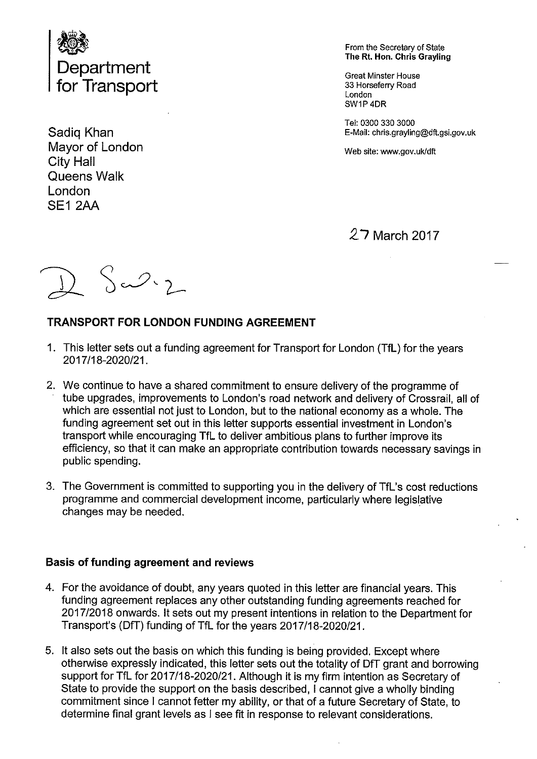

Mayor of London Web site: www.gov.uk/dft City Hall Queens Walk London SEI 2AA

From the Secretary of State The Rt. Hon. Chris Grayling

SW1P 4DR

Tel: 03003303000 Sadiq Khan **E-Mail: chris.grayling@dft.gsi.gov.uk** 

# 27 March 2017

 $S\rightarrow 2$ 

### TRANSPORT FOR LONDON FUNDING AGREEMENT

- 1. This letter sets out a funding agreement for Transport for London (TfL) for the years 2017/18-2020/21.
- 2. We continue to have a shared commitment to ensure delivery of the programme of tube upgrades, improvements to London's road network and delivery of Crossrail, all of which are essential not just to London, but to the national economy as a whole. The funding agreement set out in this letter supports essential investment in London's transport while encouraging TfL to deliver ambitious plans to further improve its efficiency, so that it can make an appropriate contribution towards necessary savings in public spending.
- 3. The Government is committed to supporting you in the delivery of TfL's cost reductions programme and commercial development income, particularly where legislative changes may be needed.

#### Basis of funding agreement and reviews

- 4. For the avoidance of doubt, any years quoted in this letter are financial years. This funding agreement replaces any other outstanding funding agreements reached for 2017/2018 onwards. It sets out my present intentions in relation to the Department for Transport's (DfT) funding of TfL for the years 2017/18-2020/21.
- 5. It also sets out the basis on which this funding is being provided. Except where otherwise expressly indicated, this letter sets out the totality of DtT grant and borrowing support for TfL for 2017/18-2020/21. Although it is my firm intention as Secretary of State to provide the support on the basis described, <sup>I</sup> cannot give a wholly binding commitment since <sup>I</sup> cannot fetter my ability, or that of a future Secretary of State, to determine final grant levels as <sup>I</sup> see fit in response to relevant considerations.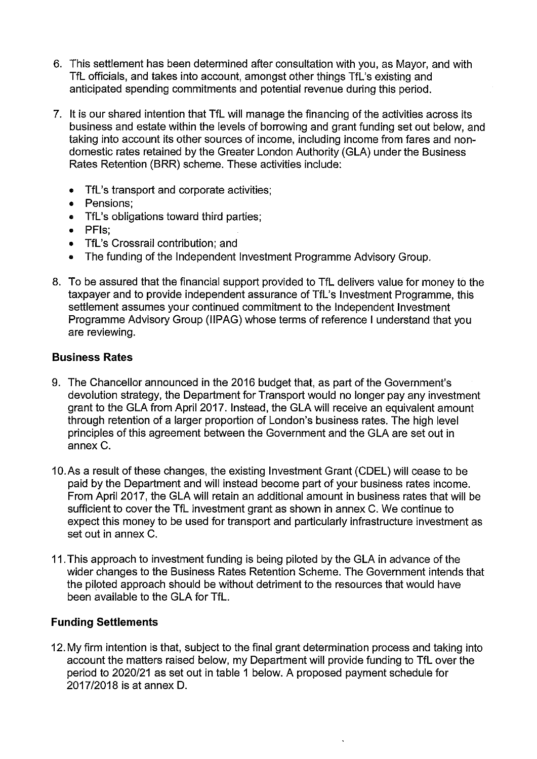- 6. This settlement has been determined after consultation with you, as Mayor, and with TfL officials, and takes into account, amongst other things TfL's existing and anticipated spending commitments and potential revenue during this period.
- 7. It is our shared intention that TfL will manage the financing of the activities across its business and estate within the levels of borrowing and grant funding set out below, and taking into account its other sources of income, including income from fares and nondomestic rates retained by the Greater London Authority (GLA) under the Business Rates Retention (BRR) scheme. These activities include:
	- TfL's transport and corporate activities:
	- Pensions;
	- TfL's obligations toward third parties;
	- PFIs;
	- TfL's Crossrail contribution; and
	- The funding of the Independent Investment Programme Advisory Group.
- 8. To be assured that the financial support provided to TfL delivers value for money to the taxpayer and to provide independent assurance of TfL's Investment Programme, this settlement assumes your continued commitment to the Independent Investment Programme Advisory Group (IIPAG) whose terms of reference <sup>I</sup> understand that you are reviewing.

### Business Rates

- 9. The Chancellor announced in the 2016 budget that, as part of the Government's devolution strategy, the Department for Transport would no longer pay any investment grant to the GLA from April 2017. Instead, the GLA will receive an equivalent amount through retention of a larger proportion of London's business rates. The high level principles of this agreement between the Government and the GLA are set out in annex C.
- 10.As a result of these changes, the existing Investment Grant (CDEL) will cease to be paid by the Department and will instead become part of your business rates income. From April 2017, the GLA will retain an additional amount in business rates that will be sufficient to cover the TfL investment grant as shown in annex C. We continue to expect this money to be used for transport and particularly infrastructure investment as set out in annex C.
- 11 .This approach to investment funding is being piloted by the GLA in advance of the wider changes to the Business Rates Retention Scheme. The Government intends that the piloted approach should be without detriment to the resources that would have been available to the GLA for TfL.

#### Funding Settlements

12. My firm intention is that, subject to the final grant determination process and taking into account the matters raised below, my Department will provide funding to TfL over the period to 2020/21 as set out in table I below. A proposed payment schedule for 2017/2018 is at annex D.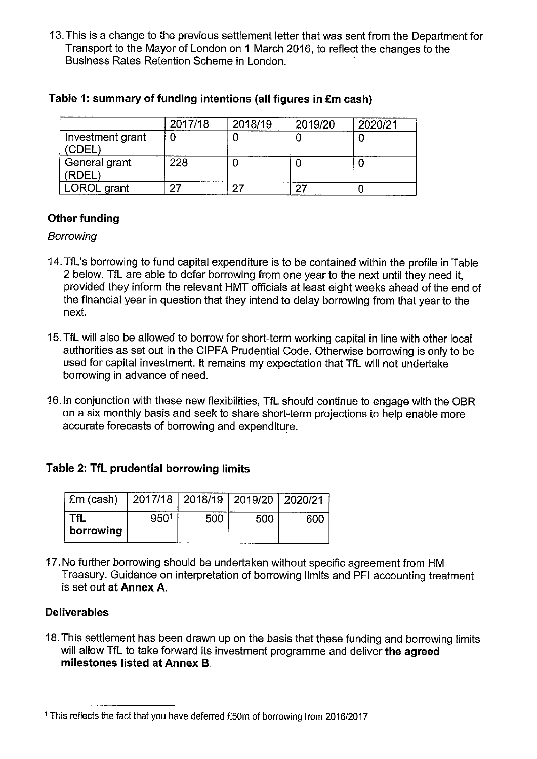13. This is a change to the previous settlement letter that was sent from the Department for Transport to the Mayor of London on <sup>1</sup> March 2016, to reflect the changes to the Business Rates Retention Scheme in London.

|                            | 2017/18 | 2018/19 | 2019/20 | 2020/21 |
|----------------------------|---------|---------|---------|---------|
| Investment grant<br>(CDEL) |         |         |         |         |
| General grant<br>'RDEL     | 228     |         |         |         |
| LOROL grant                |         |         |         |         |

### Table 1: summary of funding intentions (all figures in £m cash)

## Other funding

#### Borrowing

- 14.TfL's borrowing to fund capital expenditure is to be contained within the profile in Table 2 below. TfL are able to defer borrowing from one year to the next until they need it, provided they inform the relevant HMT officials at least eight weeks ahead of the end of the financial year in question that they intend to delay borrowing from that year to the next.
- 15. TfL will also be allowed to borrow for short-term working capital in line with other local authorities as set out in the CIPFA Prudential Code. Otherwise borrowing is only to be used for capital investment. It remains my expectation that TfL will not undertake borrowing in advance of need.
- 16.ln conjunction with these new flexibilities, TfL should continue to engage with the OBR on a six monthly basis and seek to share short-term projections to help enable more accurate forecasts of borrowing and expenditure.

#### Table 2: TfL prudential borrowing limits

| £m (cash)               | 2017/18   2018/19   2019/20   2020/21 |     |     |  |
|-------------------------|---------------------------------------|-----|-----|--|
| <b>TfL</b><br>borrowing | 950 <sup>1</sup>                      | 500 | 500 |  |

17. No further borrowing should be undertaken without specific agreement from HM Treasury. Guidance on interpretation of borrowing limits and PFI accounting treatment is set out at Annex A.

## Deliverables

18.This settlement has been drawn up on the basis that these funding and borrowing limits will allow TfL to take forward its investment programme and deliver the agreed milestones listed at Annex B.

<sup>1</sup> This reflects the fact that you have deferred £50m of borrowing from 2016/2017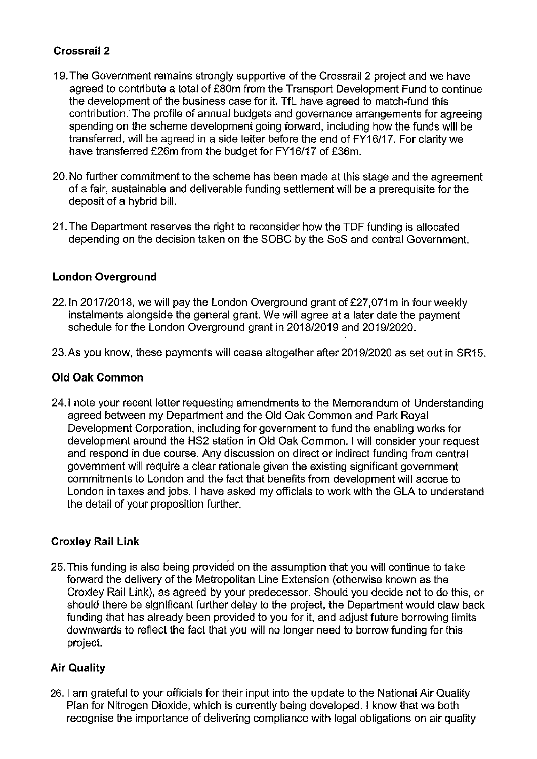## Crossrail 2

- 19.The Government remains strongly supportive of the Crossrail 2 project and we have agreed to contribute a total of £80m from the Transport Development Fund to continue the development of the business case for it. TfL have agreed to match-fund this contribution: The profile of annual budgets and governance arrangements for agreeing spending on the scheme development going forward, including how the funds will be transferred, will be agreed in a side letter before the end of FYI 6/17. For clarity we have transferred £26m from the budget for FY16/17 of £36m.
- 20. No further commitment to the scheme has been made at this stage and the agreement of a fair, sustainable and deliverable funding settlement will be a prerequisite for the deposit of a hybrid bill.
- 21 .The Department reserves the right to reconsider how the TDF funding is allocated depending on the decision taken on the SOBC by the SoS and central Government.

## London Overground

- 22. In 2017/2018, we will pay the London Overground grant of  $£27,071m$  in four weekly instalments alongside the general grant. We will agree at a later date the payment schedule for the London Overground grant in 2018/2019 and 2019/2020.
- 23.As you know, these payments will cease altogether after 2019/2020 as set out in SR15.

## Old Oak Common

24.1 note your recent letter requesting amendments to the Memorandum of Understanding agreed between my Department and the Old Oak Common and Park Royal Development Corporation, including for government to fund the enabling works for development around the HS2 station in Old Oak Common. <sup>I</sup> will consider your request and respond in due course. Any discussion on direct or indirect funding from central government will require a clear rationale given the existing significant government commitments to London and the fact that benefits from development will accrue to London in taxes and jobs. <sup>I</sup> have asked my officials to work with the GLA to understand the detail of your proposition further.

## Croxley Rail Link

25. This funding is also being provided on the assumption that you will continue to take forward the delivery of the Metropolitan Line Extension (otherwise known as the Croxley Rail Link), as agreed by your predecessor. Should you decide not to do this, or should there be significant further delay to the project, the Department would claw back funding that has already been provided to you for it, and adjust future borrowing limits downwards to reflect the fact that you will no longer need to borrow funding for this project.

## Air Quality

26. <sup>I</sup> am grateful to your officials for their input into the update to the National Air Quality Plan for Nitrogen Dioxide, which is currently being developed. <sup>I</sup> know that we both recognise the importance of delivering compliance with legal obligations on air quality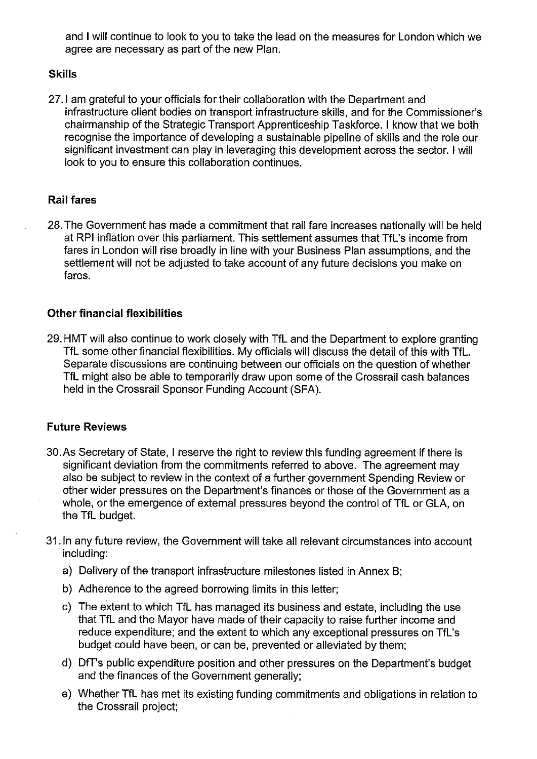and <sup>I</sup> will continue to look to you to take the lead on the measures for London which we agree are necessary as part of the new Plan.

#### **Skills**

27.1 am grateful to your officials for their collaboration with the Department and infrastructure client bodies on transport infrastructure skills, and for the Commissioner's chairmanship of the Strategic Transport Apprenticeship Taskforce. <sup>I</sup> know that we bath recognise the importance of developing a sustainable pipeline of skills and the role our significant investment can play in leveraging this development across the sector. <sup>I</sup> will look to you to ensure this collaboration continues.

## Rail fares

28.The Government has made a commitment that rail fare increases nationally will be held at RPI inflation over this parliament. This settlement assumes that TfL's income from fares in London will rise broadly in line with your Business Plan assumptions, and the settlement will not be adjusted to take account of any future decisions you make on fares.

## Other financial flexibilities

29. HMT will also continue to work closely with TfL and the Department to explore granting TfL some other financial flexibilities. My officials will discuss the detail of this with TfL. Separate discussions are continuing between our officials on the question of whether TfL might also be able to temporarily draw upon some of the Crossrail cash balances held in the Crossrail Sponsor Funding Account (SEA).

#### Future Reviews

- 30.As Secretary of State, <sup>I</sup> reserve the right to review this funding agreement if there is significant deviation from the commitments referred to above. The agreement may also be subject to review in the context of a further government Spending Review or other wider pressures on the Department's finances or those of the Government as a whole, or the emergence of external pressures beyond the control of TfL or GLA, on the TfL budget.
- 31. In any future review, the Government will take all relevant circumstances into account including:
	- a) Delivery of the transport infrastructure milestones listed in Annex B;
	- b) Adherence to the agreed borrowing limits in this letter;
	- c) The extent to which TfL has managed its business and estate, including the use that TfL and the Mayor have made of their capacity to raise further income and reduce expenditure; and the extent to which any exceptional pressures on TfL's budget could have been, or can be, prevented or alleviated by them;
	- d) DfT's public expenditure position and other pressures on the Department's budget and the finances of the Government generally;
	- e) Whether TfL has met its existing funding commitments and obligations in relation to the Crossrail project;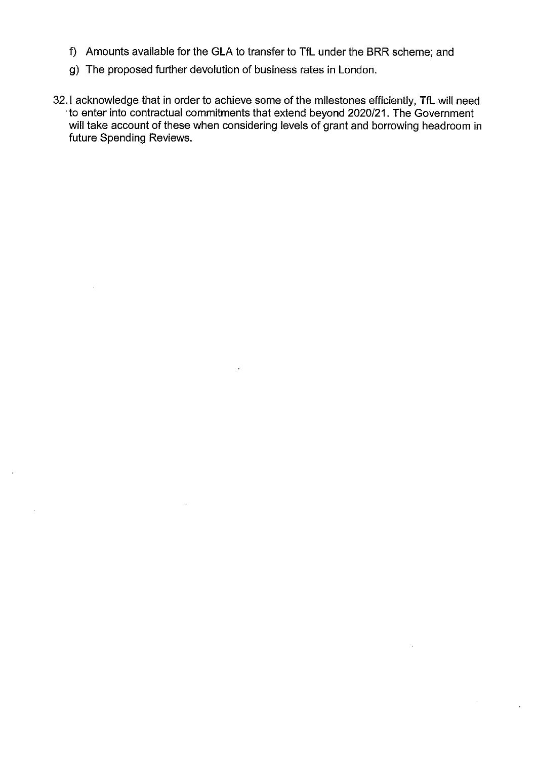- f) Amounts available for the GLA to transfer to TfL under the BRR scheme; and
- g) The proposed further devolution of business rates in London.
- 32.! acknowledge that in order to achieve some of the milestones efficiently, TfL will need to enter into contractual commitments that extend beyond 2020/21. The Government will take account of these when considering levels of grant and borrowing headroom in future Spending Reviews.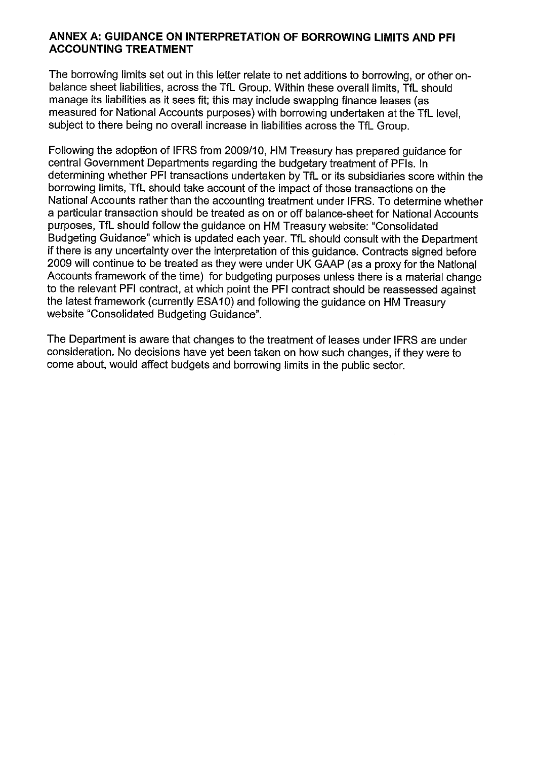#### ANNEX A: GUIDANCE ON INTERPRETATION OF BORROWING LIMITS AND PFI ACCOUNTING TREATMENT

The borrowing limits set out in this letter relate to net additions to borrowing, or other onbalance sheet liabilities, across the TfL Group. Within these overall limits, TfL should manage its liabilities as it sees fit; this may include swapping finance leases (as measured for National Accounts purposes) with borrowing undertaken at the TfL level, subject to there being no overall increase in liabilities across the TfL Group.

Following the adoption of IFRS from 2009/10, HM Treasury has prepared guidance for central Government Departments regarding the budgetary treatment of PFIs. In determining whether PFI transactions undertaken by TfL or its subsidiaries score within the borrowing limits, TfL should take account of the impact of those transactions on the National Accounts rather than the accounting treatment under IFRS. To determine whether a particular transaction should be treated as on or off balance-sheet for National Accounts purposes, TfL should follow the guidance on HM Treasury website: "Consolidated Budgeting Guidance" which is updated each year. TfL should consult with the Department if there is any uncertainty over the interpretation of this guidance. Contracts signed before 2009 will continue to be treated as they were under UK GAAP (as a proxy for the National Accounts framework of the time) for budgeting purposes unless there is a material change to the relevant PFI contract, at which point the PFI contract should be reassessed against the latest framework (currently ESA10) and following the guidance on HM Treasury website "Consolidated Budgeting Guidance".

The Department is aware that changes to the treatment of leases under IFRS are under consideration. No decisions have yet been taken on how such changes, if they were to come about, would affect budgets and borrowing limits in the public sector.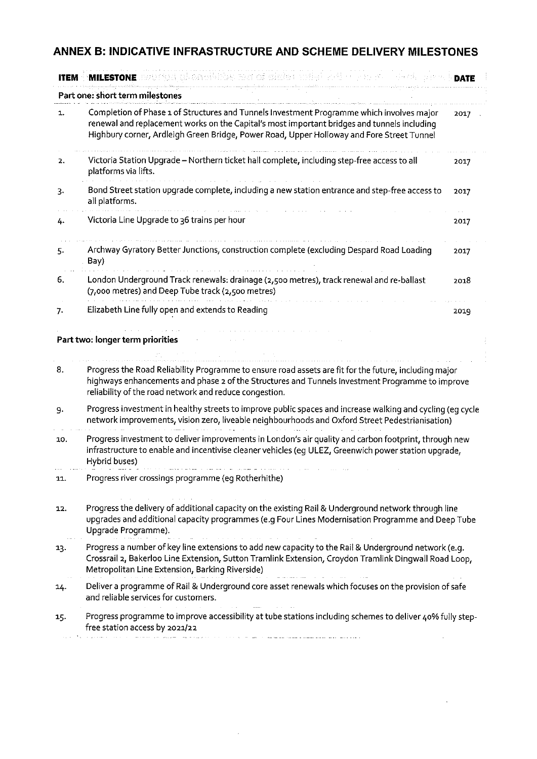# ANNEX B: INDICATIVE INFRASTRUCTURE AND SCHEME DELIVERY MILESTONES

| <b>ITEM</b> |                                                                                                                                                                                                                                                                                       | <b>DATE</b> |  |  |  |
|-------------|---------------------------------------------------------------------------------------------------------------------------------------------------------------------------------------------------------------------------------------------------------------------------------------|-------------|--|--|--|
|             | Part one: short term milestones                                                                                                                                                                                                                                                       |             |  |  |  |
| 1.          | Completion of Phase 1 of Structures and Tunnels Investment Programme which involves major<br>renewal and replacement works on the Capital's most important bridges and tunnels including<br>Highbury corner, Ardleigh Green Bridge, Power Road, Upper Holloway and Fore Street Tunnel | 2017        |  |  |  |
| 2.          | Victoria Station Upgrade - Northern ticket hall complete, including step-free access to all<br>platforms via lifts.                                                                                                                                                                   | 2017        |  |  |  |
| 3.          | Bond Street station upgrade complete, including a new station entrance and step-free access to<br>all platforms.                                                                                                                                                                      | 2017        |  |  |  |
| 4.          | Victoria Line Upgrade to 36 trains per hour                                                                                                                                                                                                                                           | 2017        |  |  |  |
| 5.          | Archway Gyratory Better Junctions, construction complete (excluding Despard Road Loading<br>Bay)                                                                                                                                                                                      | 2017        |  |  |  |
| 6.          | London Underground Track renewals: drainage (2,500 metres), track renewal and re-ballast<br>(7,000 metres) and Deep Tube track (2,500 metres)                                                                                                                                         | 2018        |  |  |  |
| 7.          | Elizabeth Line fully open and extends to Reading                                                                                                                                                                                                                                      | 2019        |  |  |  |
|             | Part two: longer term priorities                                                                                                                                                                                                                                                      |             |  |  |  |
| 8.          | Progress the Road Reliability Programme to ensure road assets are fit for the future, including major<br>highways enhancements and phase 2 of the Structures and Tunnels Investment Programme to improve<br>reliability of the road network and reduce congestion.                    |             |  |  |  |
| 9.          | Progress investment in healthy streets to improve public spaces and increase walking and cycling (eg cycle<br>network improvements, vision zero, liveable neighbourhoods and Oxford Street Pedestrianisation)                                                                         |             |  |  |  |
| 10.         | Progress investment to deliver improvements in London's air quality and carbon footprint, through new<br>infrastructure to enable and incentivise cleaner vehicles (eg ULEZ, Greenwich power station upgrade,<br>Hybrid buses)                                                        |             |  |  |  |
| 11.         | Progress river crossings programme (eg Rotherhithe)                                                                                                                                                                                                                                   |             |  |  |  |
| 12.         | Progress the delivery of additional capacity on the existing Rail & Underground network through line<br>upgrades and additional capacity programmes (e.g Four Lines Modernisation Programme and Deep Tube<br>Upgrade Programme).                                                      |             |  |  |  |
| 13.         | Progress a number of key line extensions to add new capacity to the Rail & Underground network (e.g.<br>Crossrail 2, Bakerloo Line Extension, Sutton Tramlink Extension, Croydon Tramlink Dingwall Road Loop,<br>Metropolitan Line Extension, Barking Riverside)                      |             |  |  |  |
| 14.         | Deliver a programme of Rail & Underground core asset renewals which focuses on the provision of safe<br>and reliable services for customers.                                                                                                                                          |             |  |  |  |
| 15.         | Progress programme to improve accessibility at tube stations including schemes to deliver 40% fully step-<br>free station access by 2021/22                                                                                                                                           |             |  |  |  |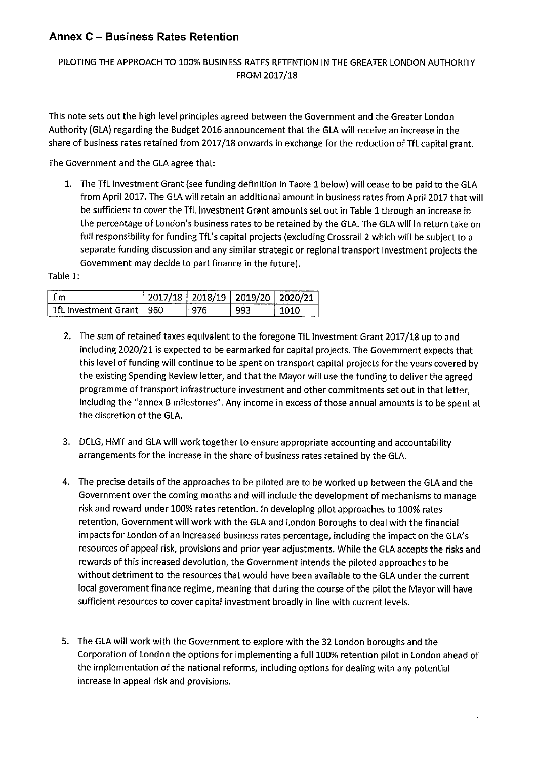#### Annex C — Business Rates Retention

#### PILOTING THE APPROACH TO 100% BUSINESS RATES RETENTION IN THE GREATER LONDON AUTHORITY FROM 2017/18

This note sets out the high level principles agreed between the Government and the Greater London Authority (GLA) regarding the Budget 2016 announcement that the GLA will receive an increase in the share of business rates retained from 2017/18 onwards in exchange for the reduction of TfL capital grant.

The Government and the GLA agree that:

1. The TfL Investment Grant (see funding definition in Table <sup>1</sup> below) will cease to be paid to the GLA from April 2017. The GLA will retain an additional amount in business rates from April 2017 that will be sufficient to cover the TfL Investment Grant amounts set out in Table <sup>1</sup> through an increase in the percentage of London's business rates to be retained by the CIA. The GLA will in return take on full responsibility for funding TfL's capital projects (excluding Crossrail 2 which will be subject to <sup>a</sup> separate funding discussion and any similar strategic or regional transport investment projects the Government may decide to part finance in the future).

Table 1:

| m                                                     |     | ο<br>--      |       | --------------------<br>- |
|-------------------------------------------------------|-----|--------------|-------|---------------------------|
| $-1$<br><b>TENNISSION AND ARRAIGNMENT COMMUNISTIC</b> | 960 | --<br>ш<br>v | .<br> |                           |

- 2. The sum of retained taxes equivalent to the foregone TfL Investment Grant 2017/18 up to and including 2020/21 is expected to be earmarked for capital projects. The Government expects that this level of funding will continue to be spent on transport capital projects for the years covered by the existing Spending Review letter, and that the Mayor will use the funding to deliver the agreed programme of transport infrastructure investment and other commitments set out in that letter, including the "annex <sup>B</sup> milestones". Any income in excess of those annual amounts is to be spent at the discretion of the GLA.
- 3. DCLG, HMT and GLA will work together to ensure appropriate accounting and accountability arrangements for the increase in the share of business rates retained by the GLA.
- 4. The precise details of the approaches to be piloted are to be worked up between the CIA and the Government over the coming months and will include the development of mechanisms to manage risk and reward under 100% rates retention. In developing pilot approaches to 100% rates retention, Government will work with the CIA and London Boroughs to deal with the financial impacts for London of an increased business rates percentage, including the impact on the GLA's resources of appeal risk, provisions and prior year adjustments. While the CLA accepts the risks and rewards of this increased devolution, the Government intends the piloted approaches to be without detriment to the resources that would have been available to the GLA under the current local government finance regime, meaning that during the course of the pilot the Mayor will have sufficient resources to cover capital investment broadly in line with current levels.
- 5. The GLA will work with the Government to explore with the 32 London boroughs and the Corporation of London the options for implementing <sup>a</sup> full 100% retention pilot in London ahead of the implementation of the national reforms, including options for dealing with any potential increase in appeal risk and provisions.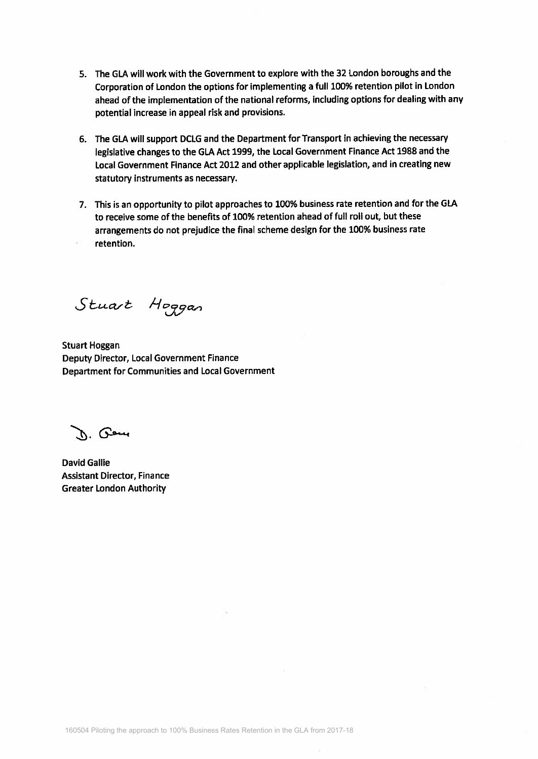- 5. The GLA will work with the Government to explore with the 32 London boroughs and the Corporation of London the options for implementing a full 100% retention pilot in London ahead of the implementation of the national reforms, including options for dealing with any potential increase in appeal risk and provisions.
- 6. The GLA will support DCLG and the Department for Transport in achieving the necessary legislative changes to the GLA Act 1999, the Local Government Finance Act 1988 and the Local Government Finance Act 2012 and other applicable legislation, and in creating new statutory instruments as necessary.
- 7. This is an opportunity to pilot approaches to 100% business rate retention and for the GLA to receive some of the benefits of 100% retention ahead of full roll out, but these arrangements do not prejudice the final scheme design for the 100% business rate retention.

Stuart Hoggan

**Stuart Hoggan** Deputy Director, Local Government Finance Department for Communities and Local Government

n. Peu

**David Gallie Assistant Director, Finance Greater London Authority**